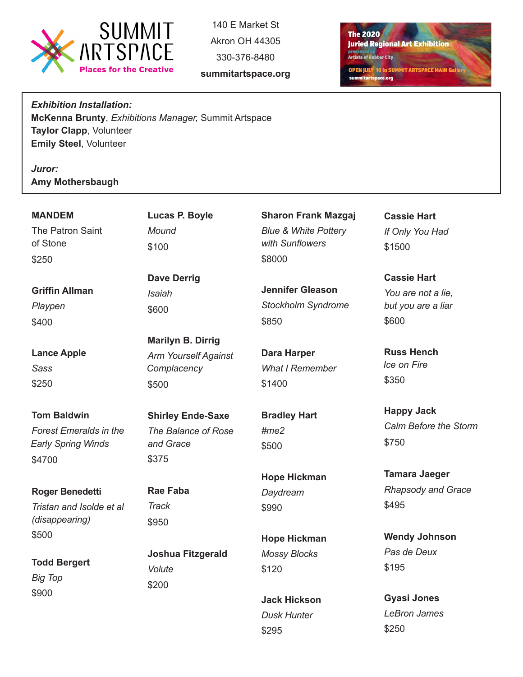

140 E Market St Akron OH 44305 330-376-8480

**summitartspace.org**

**The 2020 Juried Regional Art Exhibition presented by Artists of Rubber City OPEN JULY 10 in SUMMIT ARTSPACE MAIN Galle** summitartspace.org

*Exhibition Installation:* **McKenna Brunty**, *Exhibitions Manager,* Summit Artspace **Taylor Clapp**, Volunteer **Emily Steel**, Volunteer

*Juror:*  **Amy Mothersbaugh**

\$900

| <b>MANDEM</b><br>The Patron Saint<br>of Stone<br>\$250                                     | Lucas P. Boyle<br>Mound<br>\$100                                                | <b>Sharon Frank Mazgaj</b><br><b>Blue &amp; White Pottery</b><br>with Sunflowers<br>\$8000 | <b>Cassie Hart</b><br>If Only You Had<br>\$1500                                    |
|--------------------------------------------------------------------------------------------|---------------------------------------------------------------------------------|--------------------------------------------------------------------------------------------|------------------------------------------------------------------------------------|
| <b>Griffin Allman</b><br>Playpen<br>\$400                                                  | <b>Dave Derrig</b><br><b>Isaiah</b><br>\$600                                    | <b>Jennifer Gleason</b><br><b>Stockholm Syndrome</b><br>\$850                              | <b>Cassie Hart</b><br>You are not a lie,<br>but you are a liar<br>\$600            |
| <b>Lance Apple</b><br><b>Sass</b><br>\$250                                                 | <b>Marilyn B. Dirrig</b><br><b>Arm Yourself Against</b><br>Complacency<br>\$500 | <b>Dara Harper</b><br><b>What I Remember</b><br>\$1400                                     | <b>Russ Hench</b><br>Ice on Fire<br>\$350                                          |
| <b>Tom Baldwin</b><br><b>Forest Emeralds in the</b><br><b>Early Spring Winds</b><br>\$4700 | <b>Shirley Ende-Saxe</b><br>The Balance of Rose<br>and Grace<br>\$375           | <b>Bradley Hart</b><br>$\#me2$<br>\$500                                                    | <b>Happy Jack</b><br>Calm Before the Storm<br>\$750                                |
| <b>Roger Benedetti</b><br>Tristan and Isolde et al<br>(disappearing)<br>\$500              | <b>Rae Faba</b><br><b>Track</b><br>\$950                                        | <b>Hope Hickman</b><br>Daydream<br>\$990<br><b>Hope Hickman</b>                            | <b>Tamara Jaeger</b><br><b>Rhapsody and Grace</b><br>\$495<br><b>Wendy Johnson</b> |
| <b>Todd Bergert</b><br><b>Big Top</b>                                                      | <b>Joshua Fitzgerald</b><br>Volute<br>\$200                                     | <b>Mossy Blocks</b><br>\$120                                                               | Pas de Deux<br>\$195                                                               |

**Jack Hickson** *Dusk Hunter*

\$295

**Gyasi Jones** *LeBron James* \$250